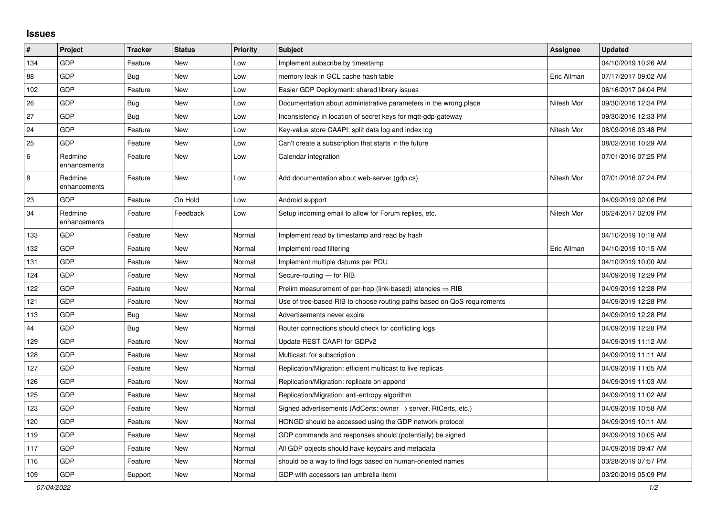## **Issues**

| #   | Project                 | <b>Tracker</b> | <b>Status</b> | <b>Priority</b> | <b>Subject</b>                                                          | <b>Assignee</b> | <b>Updated</b>      |
|-----|-------------------------|----------------|---------------|-----------------|-------------------------------------------------------------------------|-----------------|---------------------|
| 134 | <b>GDP</b>              | Feature        | <b>New</b>    | Low             | Implement subscribe by timestamp                                        |                 | 04/10/2019 10:26 AM |
| 88  | <b>GDP</b>              | Bug            | <b>New</b>    | Low             | memory leak in GCL cache hash table                                     | Eric Allman     | 07/17/2017 09:02 AM |
| 102 | GDP                     | Feature        | <b>New</b>    | Low             | Easier GDP Deployment: shared library issues                            |                 | 06/16/2017 04:04 PM |
| 26  | GDP                     | Bug            | <b>New</b>    | Low             | Documentation about administrative parameters in the wrong place        | Nitesh Mor      | 09/30/2016 12:34 PM |
| 27  | GDP                     | Bug            | <b>New</b>    | Low             | Inconsistency in location of secret keys for mgtt-gdp-gateway           |                 | 09/30/2016 12:33 PM |
| 24  | <b>GDP</b>              | Feature        | <b>New</b>    | Low             | Key-value store CAAPI: split data log and index log                     | Nitesh Mor      | 08/09/2016 03:48 PM |
| 25  | GDP                     | Feature        | <b>New</b>    | Low             | Can't create a subscription that starts in the future                   |                 | 08/02/2016 10:29 AM |
| 6   | Redmine<br>enhancements | Feature        | <b>New</b>    | Low             | Calendar integration                                                    |                 | 07/01/2016 07:25 PM |
| 8   | Redmine<br>enhancements | Feature        | <b>New</b>    | Low             | Add documentation about web-server (gdp.cs)                             | Nitesh Mor      | 07/01/2016 07:24 PM |
| 23  | <b>GDP</b>              | Feature        | On Hold       | Low             | Android support                                                         |                 | 04/09/2019 02:06 PM |
| 34  | Redmine<br>enhancements | Feature        | Feedback      | Low             | Setup incoming email to allow for Forum replies, etc.                   | Nitesh Mor      | 06/24/2017 02:09 PM |
| 133 | <b>GDP</b>              | Feature        | <b>New</b>    | Normal          | Implement read by timestamp and read by hash                            |                 | 04/10/2019 10:18 AM |
| 132 | <b>GDP</b>              | Feature        | <b>New</b>    | Normal          | Implement read filtering                                                | Eric Allman     | 04/10/2019 10:15 AM |
| 131 | GDP                     | Feature        | <b>New</b>    | Normal          | Implement multiple datums per PDU                                       |                 | 04/10/2019 10:00 AM |
| 124 | <b>GDP</b>              | Feature        | <b>New</b>    | Normal          | Secure-routing - for RIB                                                |                 | 04/09/2019 12:29 PM |
| 122 | GDP                     | Feature        | <b>New</b>    | Normal          | Prelim measurement of per-hop (link-based) latencies $\Rightarrow$ RIB  |                 | 04/09/2019 12:28 PM |
| 121 | <b>GDP</b>              | Feature        | <b>New</b>    | Normal          | Use of tree-based RIB to choose routing paths based on QoS requirements |                 | 04/09/2019 12:28 PM |
| 113 | GDP                     | Bug            | <b>New</b>    | Normal          | Advertisements never expire                                             |                 | 04/09/2019 12:28 PM |
| 44  | GDP                     | Bug            | <b>New</b>    | Normal          | Router connections should check for conflicting logs                    |                 | 04/09/2019 12:28 PM |
| 129 | <b>GDP</b>              | Feature        | <b>New</b>    | Normal          | Update REST CAAPI for GDPv2                                             |                 | 04/09/2019 11:12 AM |
| 128 | <b>GDP</b>              | Feature        | <b>New</b>    | Normal          | Multicast: for subscription                                             |                 | 04/09/2019 11:11 AM |
| 127 | GDP                     | Feature        | New           | Normal          | Replication/Migration: efficient multicast to live replicas             |                 | 04/09/2019 11:05 AM |
| 126 | GDP                     | Feature        | <b>New</b>    | Normal          | Replication/Migration: replicate on append                              |                 | 04/09/2019 11:03 AM |
| 125 | GDP                     | Feature        | <b>New</b>    | Normal          | Replication/Migration: anti-entropy algorithm                           |                 | 04/09/2019 11:02 AM |
| 123 | <b>GDP</b>              | Feature        | <b>New</b>    | Normal          | Signed advertisements (AdCerts: owner → server, RtCerts, etc.)          |                 | 04/09/2019 10:58 AM |
| 120 | <b>GDP</b>              | Feature        | <b>New</b>    | Normal          | HONGD should be accessed using the GDP network protocol                 |                 | 04/09/2019 10:11 AM |
| 119 | GDP                     | Feature        | <b>New</b>    | Normal          | GDP commands and responses should (potentially) be signed               |                 | 04/09/2019 10:05 AM |
| 117 | GDP                     | Feature        | New           | Normal          | All GDP objects should have keypairs and metadata                       |                 | 04/09/2019 09:47 AM |
| 116 | <b>GDP</b>              | Feature        | <b>New</b>    | Normal          | should be a way to find logs based on human-oriented names              |                 | 03/28/2019 07:57 PM |
| 109 | GDP                     | Support        | <b>New</b>    | Normal          | GDP with accessors (an umbrella item)                                   |                 | 03/20/2019 05:09 PM |